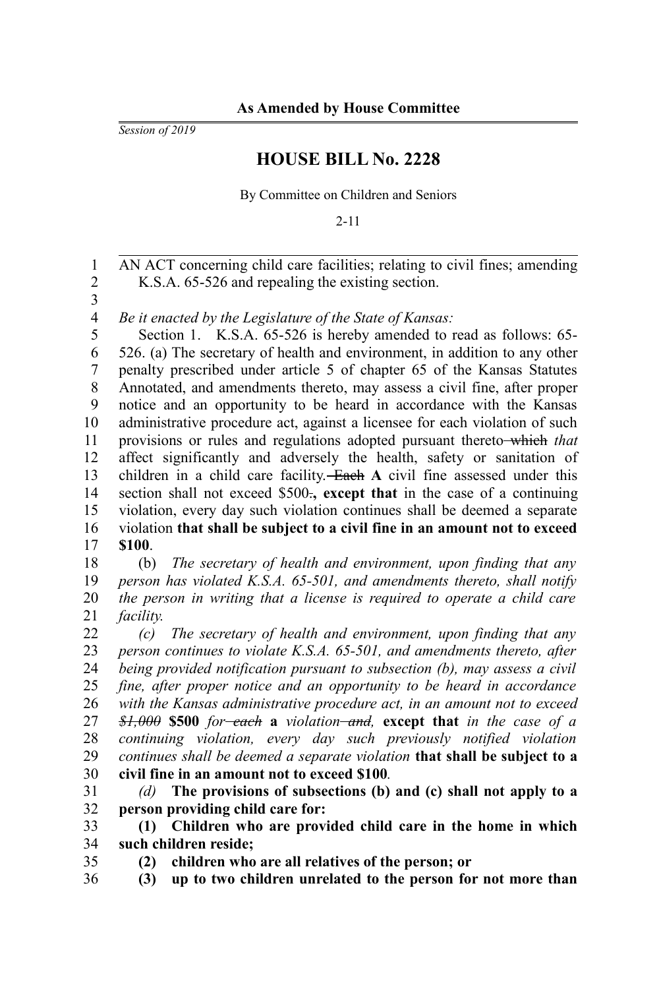*Session of 2019*

## **HOUSE BILL No. 2228**

By Committee on Children and Seniors

2-11

AN ACT concerning child care facilities; relating to civil fines; amending K.S.A. 65-526 and repealing the existing section. 1 2

3

*Be it enacted by the Legislature of the State of Kansas:* 4

Section 1. K.S.A. 65-526 is hereby amended to read as follows: 65-526. (a) The secretary of health and environment, in addition to any other penalty prescribed under article 5 of chapter 65 of the Kansas Statutes Annotated, and amendments thereto, may assess a civil fine, after proper notice and an opportunity to be heard in accordance with the Kansas administrative procedure act, against a licensee for each violation of such provisions or rules and regulations adopted pursuant thereto which *that* affect significantly and adversely the health, safety or sanitation of children in a child care facility. Each **A** civil fine assessed under this section shall not exceed \$500.**, except that** in the case of a continuing violation, every day such violation continues shall be deemed a separate violation **that shall be subject to a civil fine in an amount not to exceed \$100**. 5 6 7 8 9 10 11 12 13 14 15 16 17

(b) *The secretary of health and environment, upon finding that any person has violated K.S.A. 65-501, and amendments thereto, shall notify the person in writing that a license is required to operate a child care facility.* 18 19 20 21

*(c) The secretary of health and environment, upon finding that any person continues to violate K.S.A. 65-501, and amendments thereto, after being provided notification pursuant to subsection (b), may assess a civil fine, after proper notice and an opportunity to be heard in accordance with the Kansas administrative procedure act, in an amount not to exceed \$1,000* **\$500** *for each* **a** *violation and,* **except that** *in the case of a continuing violation, every day such previously notified violation continues shall be deemed a separate violation* **that shall be subject to a civil fine in an amount not to exceed \$100***.* 22 23 24 25 26 27 28 29 30

*(d)* **The provisions of subsections (b) and (c) shall not apply to a person providing child care for:** 31 32

**(1) Children who are provided child care in the home in which such children reside;** 33 34

35

**(2) children who are all relatives of the person; or**

**(3) up to two children unrelated to the person for not more than** 36